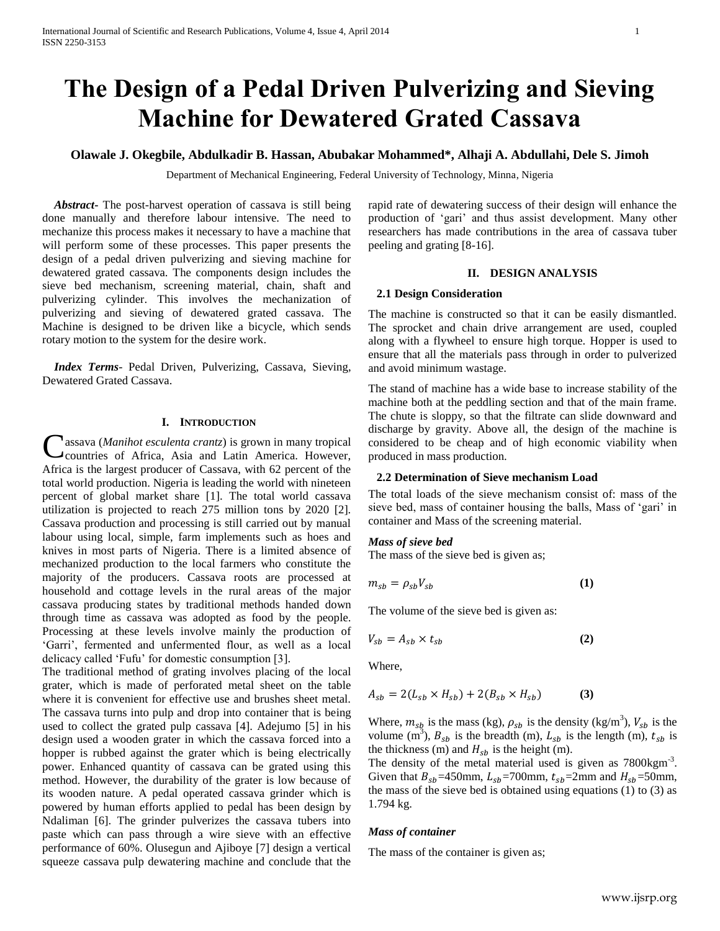# **The Design of a Pedal Driven Pulverizing and Sieving Machine for Dewatered Grated Cassava**

# **Olawale J. Okegbile, Abdulkadir B. Hassan, Abubakar Mohammed\*, Alhaji A. Abdullahi, Dele S. Jimoh**

Department of Mechanical Engineering, Federal University of Technology, Minna, Nigeria

 *Abstract***-** The post-harvest operation of cassava is still being done manually and therefore labour intensive. The need to mechanize this process makes it necessary to have a machine that will perform some of these processes. This paper presents the design of a pedal driven pulverizing and sieving machine for dewatered grated cassava. The components design includes the sieve bed mechanism, screening material, chain, shaft and pulverizing cylinder. This involves the mechanization of pulverizing and sieving of dewatered grated cassava. The Machine is designed to be driven like a bicycle, which sends rotary motion to the system for the desire work.

 *Index Terms*- Pedal Driven, Pulverizing, Cassava, Sieving, Dewatered Grated Cassava.

## **I. INTRODUCTION**

Cassava (*Manihot esculenta crantz*) is grown in many tropical countries of Africa, Asia and Latin America. However, countries of Africa, Asia and Latin America. However, Africa is the largest producer of Cassava, with 62 percent of the total world production. Nigeria is leading the world with nineteen percent of global market share [1]. The total world cassava utilization is projected to reach 275 million tons by 2020 [2]. Cassava production and processing is still carried out by manual labour using local, simple, farm implements such as hoes and knives in most parts of Nigeria. There is a limited absence of mechanized production to the local farmers who constitute the majority of the producers. Cassava roots are processed at household and cottage levels in the rural areas of the major cassava producing states by traditional methods handed down through time as cassava was adopted as food by the people. Processing at these levels involve mainly the production of 'Garri', fermented and unfermented flour, as well as a local delicacy called 'Fufu' for domestic consumption [3].

The traditional method of grating involves placing of the local grater, which is made of perforated metal sheet on the table where it is convenient for effective use and brushes sheet metal. The cassava turns into pulp and drop into container that is being used to collect the grated pulp cassava [4]. Adejumo [5] in his design used a wooden grater in which the cassava forced into a hopper is rubbed against the grater which is being electrically power. Enhanced quantity of cassava can be grated using this method. However, the durability of the grater is low because of its wooden nature. A pedal operated cassava grinder which is powered by human efforts applied to pedal has been design by Ndaliman [6]. The grinder pulverizes the cassava tubers into paste which can pass through a wire sieve with an effective performance of 60%. Olusegun and Ajiboye [7] design a vertical squeeze cassava pulp dewatering machine and conclude that the

rapid rate of dewatering success of their design will enhance the production of 'gari' and thus assist development. Many other researchers has made contributions in the area of cassava tuber peeling and grating [8-16].

# **II. DESIGN ANALYSIS**

#### **2.1 Design Consideration**

The machine is constructed so that it can be easily dismantled. The sprocket and chain drive arrangement are used, coupled along with a flywheel to ensure high torque. Hopper is used to ensure that all the materials pass through in order to pulverized and avoid minimum wastage.

The stand of machine has a wide base to increase stability of the machine both at the peddling section and that of the main frame. The chute is sloppy, so that the filtrate can slide downward and discharge by gravity. Above all, the design of the machine is considered to be cheap and of high economic viability when produced in mass production.

# **2.2 Determination of Sieve mechanism Load**

The total loads of the sieve mechanism consist of: mass of the sieve bed, mass of container housing the balls, Mass of 'gari' in container and Mass of the screening material.

# *Mass of sieve bed*

The mass of the sieve bed is given as;

$$
m_{sb} = \rho_{sb} V_{sb} \tag{1}
$$

The volume of the sieve bed is given as:

$$
V_{\rm sh} = A_{\rm sh} \times t_{\rm sh} \tag{2}
$$

Where,

$$
A_{sb} = 2(L_{sb} \times H_{sb}) + 2(B_{sb} \times H_{sb})
$$
 (3)

Where,  $m_{sh}$  is the mass (kg),  $\rho_{sh}$  is the density (kg/m<sup>3</sup>),  $V_{sh}$  is the volume  $(m^3)$ ,  $B_{sb}$  is the breadth (m),  $L_{sb}$  is the length (m),  $t_{sb}$  is the thickness (m) and  $H_{sh}$  is the height (m).

The density of the metal material used is given as  $7800 \text{kgm}^3$ . Given that  $B_{sb} = 450$ mm,  $L_{sb} = 700$ mm,  $t_{sb} = 2$ mm and  $H_{sb} = 50$ mm, the mass of the sieve bed is obtained using equations (1) to (3) as 1.794 kg.

# *Mass of container*

The mass of the container is given as;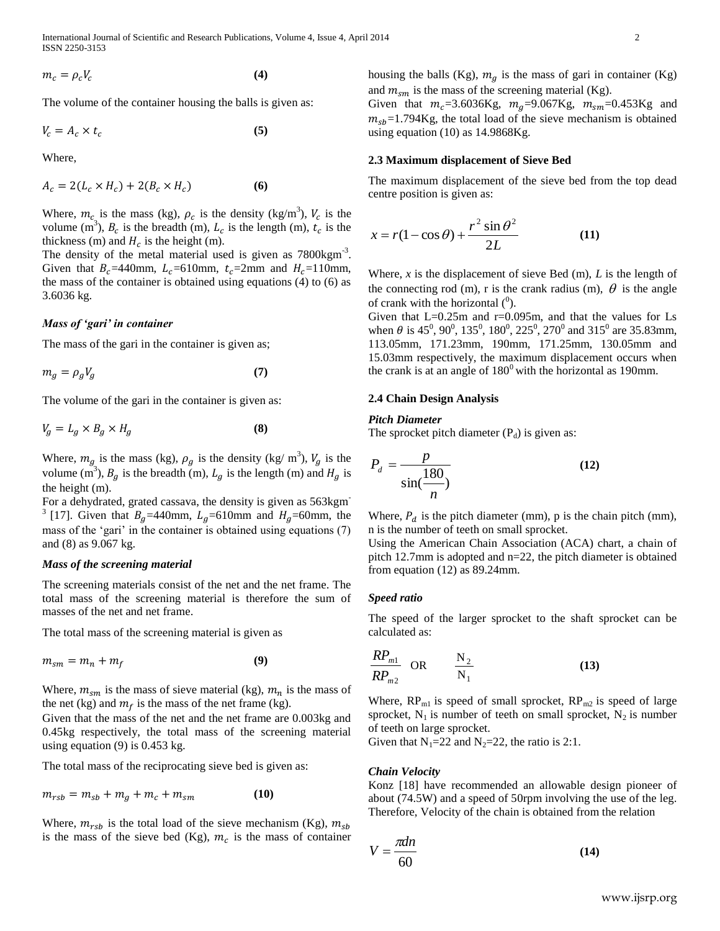International Journal of Scientific and Research Publications, Volume 4, Issue 4, April 2014 2 ISSN 2250-3153

$$
m_c = \rho_c V_c \tag{4}
$$

The volume of the container housing the balls is given as:

$$
V_c = A_c \times t_c \tag{5}
$$

Where,

$$
A_c = 2(L_c \times H_c) + 2(B_c \times H_c)
$$
 (6)

Where,  $m_c$  is the mass (kg),  $\rho_c$  is the density (kg/m<sup>3</sup>),  $V_c$  is the volume  $(m^3)$ ,  $B_c$  is the breadth (m),  $L_c$  is the length (m),  $t_c$  is the thickness (m) and  $H_c$  is the height (m).

The density of the metal material used is given as  $7800 \text{kgm}^3$ . Given that  $B_c = 440$ mm,  $L_c = 610$ mm,  $t_c = 2$ mm and  $H_c = 110$ mm, the mass of the container is obtained using equations (4) to (6) as 3.6036 kg.

# *Mass of 'gari' in container*

The mass of the gari in the container is given as;

$$
m_g = \rho_g V_g \tag{7}
$$

The volume of the gari in the container is given as:

$$
V_g = L_g \times B_g \times H_g \tag{8}
$$

Where,  $m_a$  is the mass (kg),  $\rho_a$  is the density (kg/ m<sup>3</sup>),  $V_a$  is the volume (m<sup>3</sup>),  $B_q$  is the breadth (m),  $L_q$  is the length (m) and  $H_q$  is the height (m).

For a dehydrated, grated cassava, the density is given as 563kgm-<sup>3</sup> [17]. Given that  $B<sub>g</sub>$ =440mm,  $L<sub>g</sub>$ =610mm and  $H<sub>g</sub>$ =60mm, the mass of the 'gari' in the container is obtained using equations (7) and (8) as 9.067 kg.

# *Mass of the screening material*

The screening materials consist of the net and the net frame. The total mass of the screening material is therefore the sum of masses of the net and net frame.

The total mass of the screening material is given as

$$
m_{sm} = m_n + m_f \tag{9}
$$

Where,  $m_{sm}$  is the mass of sieve material (kg),  $m_n$  is the mass of the net (kg) and  $m_f$  is the mass of the net frame (kg).

Given that the mass of the net and the net frame are 0.003kg and 0.45kg respectively, the total mass of the screening material using equation (9) is 0.453 kg.

The total mass of the reciprocating sieve bed is given as:

$$
m_{rsb} = m_{sb} + m_q + m_c + m_{sm}
$$
 (10)

Where,  $m_{rsb}$  is the total load of the sieve mechanism (Kg),  $m_{sb}$ is the mass of the sieve bed (Kg),  $m_c$  is the mass of container housing the balls (Kg),  $m<sub>g</sub>$  is the mass of gari in container (Kg) and  $m_{sm}$  is the mass of the screening material (Kg).

Given that  $m_c = 3.6036$ Kg,  $m_g = 9.067$ Kg,  $m_{sm} = 0.453$ Kg and  $m_{sh}$ =1.794Kg, the total load of the sieve mechanism is obtained using equation (10) as 14.9868Kg.

# **2.3 Maximum displacement of Sieve Bed**

The maximum displacement of the sieve bed from the top dead centre position is given as:

$$
x = r(1 - \cos \theta) + \frac{r^2 \sin \theta^2}{2L}
$$
 (11)

Where, *x* is the displacement of sieve Bed (m), *L* is the length of the connecting rod (m), r is the crank radius (m),  $\theta$  is the angle of crank with the horizontal  $(0)$ .

Given that L=0.25m and r=0.095m, and that the values for Ls when  $\theta$  is 45<sup>0</sup>, 90<sup>0</sup>, 135<sup>0</sup>, 180<sup>0</sup>, 225<sup>0</sup>, 270<sup>0</sup> and 315<sup>0</sup> are 35.83mm, 113.05mm, 171.23mm, 190mm, 171.25mm, 130.05mm and 15.03mm respectively, the maximum displacement occurs when the crank is at an angle of  $180^{\circ}$  with the horizontal as 190mm.

# **2.4 Chain Design Analysis**

#### *Pitch Diameter*

The sprocket pitch diameter  $(P_d)$  is given as:

$$
P_d = \frac{p}{\sin(\frac{180}{n})}
$$
 (12)

Where,  $P_d$  is the pitch diameter (mm), p is the chain pitch (mm), n is the number of teeth on small sprocket.

Using the American Chain Association (ACA) chart, a chain of pitch 12.7mm is adopted and n=22, the pitch diameter is obtained from equation (12) as 89.24mm.

#### *Speed ratio*

The speed of the larger sprocket to the shaft sprocket can be calculated as:

$$
\frac{RP_{m1}}{RP_{m2}} \quad \text{OR} \qquad \frac{N_2}{N_1} \tag{13}
$$

Where,  $RP_{m1}$  is speed of small sprocket,  $RP_{m2}$  is speed of large sprocket,  $N_1$  is number of teeth on small sprocket,  $N_2$  is number of teeth on large sprocket.

Given that  $N_1=22$  and  $N_2=22$ , the ratio is 2:1.

#### *Chain Velocity*

Konz [18] have recommended an allowable design pioneer of about (74.5W) and a speed of 50rpm involving the use of the leg. Therefore, Velocity of the chain is obtained from the relation

$$
V = \frac{\pi d n}{60} \tag{14}
$$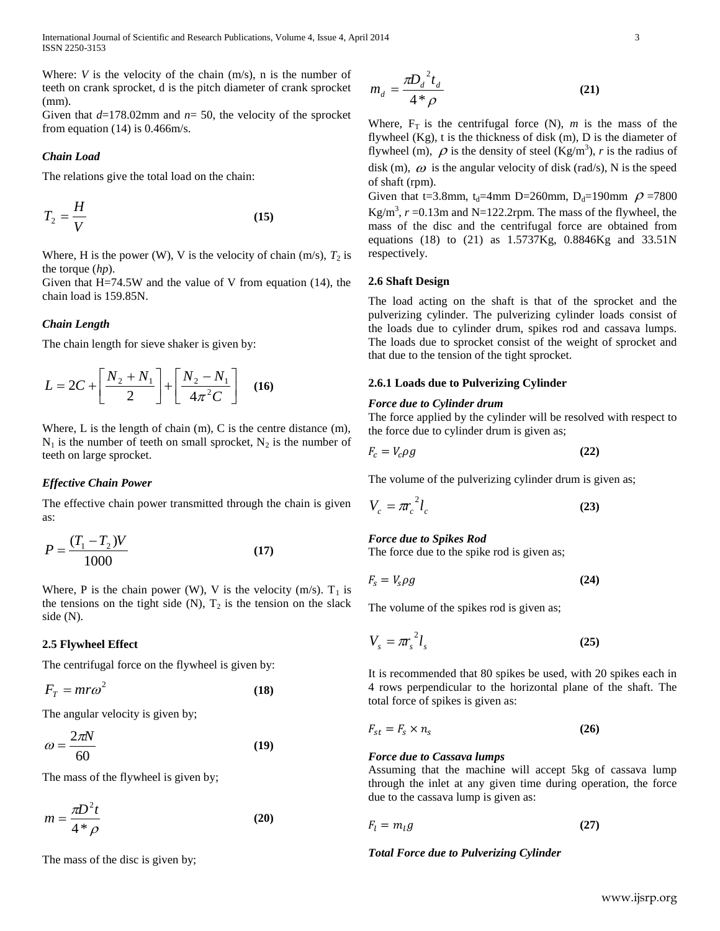International Journal of Scientific and Research Publications, Volume 4, Issue 4, April 2014 3 ISSN 2250-3153

Where: *V* is the velocity of the chain (m/s), n is the number of teeth on crank sprocket, d is the pitch diameter of crank sprocket (mm).

Given that *d*=178.02mm and *n*= 50, the velocity of the sprocket from equation (14) is 0.466m/s.

# *Chain Load*

The relations give the total load on the chain:

$$
T_2 = \frac{H}{V} \tag{15}
$$

Where, H is the power (W), V is the velocity of chain  $(m/s)$ ,  $T_2$  is the torque (*hp*).

Given that  $H=74.5W$  and the value of V from equation (14), the chain load is 159.85N.

# *Chain Length*

The chain length for sieve shaker is given by:

$$
L = 2C + \left[\frac{N_2 + N_1}{2}\right] + \left[\frac{N_2 - N_1}{4\pi^2 C}\right]
$$
 (16)

Where, L is the length of chain (m), C is the centre distance (m),  $N_1$  is the number of teeth on small sprocket,  $N_2$  is the number of teeth on large sprocket.

#### *Effective Chain Power*

The effective chain power transmitted through the chain is given as:

$$
P = \frac{(T_1 - T_2)V}{1000}
$$
 (17)

Where, P is the chain power (W), V is the velocity (m/s).  $T_1$  is the tensions on the tight side  $(N)$ ,  $T_2$  is the tension on the slack side (N).

#### **2.5 Flywheel Effect**

The centrifugal force on the flywheel is given by:

$$
F_T = mr\omega^2 \tag{18}
$$

The angular velocity is given by;

$$
\omega = \frac{2\pi N}{60} \tag{19}
$$

The mass of the flywheel is given by;

$$
m = \frac{\pi D^2 t}{4 * \rho} \tag{20}
$$

The mass of the disc is given by;

$$
m_d = \frac{\pi D_d^2 t_d}{4 * \rho} \tag{21}
$$

Where,  $F_T$  is the centrifugal force (N),  $m$  is the mass of the flywheel  $(Kg)$ , t is the thickness of disk  $(m)$ , D is the diameter of flywheel (m),  $\rho$  is the density of steel (Kg/m<sup>3</sup>), *r* is the radius of disk (m),  $\omega$  is the angular velocity of disk (rad/s), N is the speed of shaft (rpm).

Given that t=3.8mm,  $t_d$ =4mm D=260mm, D<sub>d</sub>=190mm  $\rho$ =7800 Kg/m<sup>3</sup>,  $r = 0.13$ m and N=122.2rpm. The mass of the flywheel, the mass of the disc and the centrifugal force are obtained from equations (18) to (21) as 1.5737Kg, 0.8846Kg and 33.51N respectively.

#### **2.6 Shaft Design**

The load acting on the shaft is that of the sprocket and the pulverizing cylinder. The pulverizing cylinder loads consist of the loads due to cylinder drum, spikes rod and cassava lumps. The loads due to sprocket consist of the weight of sprocket and that due to the tension of the tight sprocket.

#### **2.6.1 Loads due to Pulverizing Cylinder**

# *Force due to Cylinder drum*

The force applied by the cylinder will be resolved with respect to the force due to cylinder drum is given as;

$$
F_c = V_c \rho g \tag{22}
$$

The volume of the pulverizing cylinder drum is given as;

$$
V_c = \pi r_c^2 l_c \tag{23}
$$

# *Force due to Spikes Rod*

The force due to the spike rod is given as;

$$
F_s = V_s \rho g \tag{24}
$$

The volume of the spikes rod is given as;

$$
V_s = \pi r_s^2 l_s \tag{25}
$$

It is recommended that 80 spikes be used, with 20 spikes each in 4 rows perpendicular to the horizontal plane of the shaft. The total force of spikes is given as:

$$
F_{st} = F_s \times n_s \tag{26}
$$

# *Force due to Cassava lumps*

Assuming that the machine will accept 5kg of cassava lump through the inlet at any given time during operation, the force due to the cassava lump is given as:

$$
F_l = m_l g \tag{27}
$$

*Total Force due to Pulverizing Cylinder*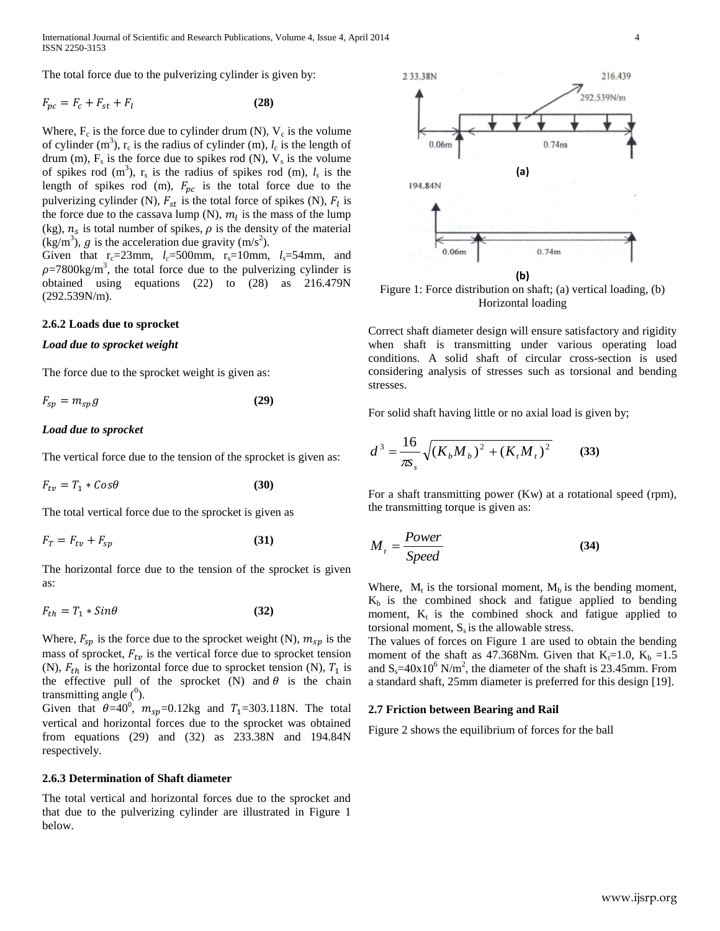International Journal of Scientific and Research Publications, Volume 4, Issue 4, April 2014 4 ISSN 2250-3153

The total force due to the pulverizing cylinder is given by:

$$
F_{pc} = F_c + F_{st} + F_l \tag{28}
$$

Where,  $F_c$  is the force due to cylinder drum (N),  $V_c$  is the volume of cylinder (m<sup>3</sup>),  $r_c$  is the radius of cylinder (m),  $l_c$  is the length of drum  $(m)$ ,  $F_s$  is the force due to spikes rod  $(N)$ ,  $V_s$  is the volume of spikes rod  $(m^3)$ ,  $r_s$  is the radius of spikes rod  $(m)$ ,  $l_s$  is the length of spikes rod (m),  $F_{pc}$  is the total force due to the pulverizing cylinder (N),  $F_{st}$  is the total force of spikes (N),  $F_l$  is the force due to the cassava lump (N),  $m_l$  is the mass of the lump  $(kg)$ ,  $n_s$  is total number of spikes,  $\rho$  is the density of the material (kg/m<sup>3</sup>), g is the acceleration due gravity (m/s<sup>2</sup>).

Given that  $r_c=23$ mm,  $l_c=500$ mm,  $r_s=10$ mm,  $l_s=54$ mm, and  $\rho$ =7800kg/m<sup>3</sup>, the total force due to the pulverizing cylinder is obtained using equations (22) to (28) as 216.479N (292.539N/m).

#### **2.6.2 Loads due to sprocket**

#### *Load due to sprocket weight*

The force due to the sprocket weight is given as:

$$
F_{\rm SD} = m_{\rm SD} g \tag{29}
$$

# *Load due to sprocket*

The vertical force due to the tension of the sprocket is given as:

$$
F_{tv} = T_1 * \cos\theta \tag{30}
$$

The total vertical force due to the sprocket is given as

$$
F_T = F_{tv} + F_{sp} \tag{31}
$$

The horizontal force due to the tension of the sprocket is given as:

$$
F_{th} = T_1 * \text{Sin}\theta \tag{32}
$$

Where,  $F_{sp}$  is the force due to the sprocket weight (N),  $m_{sp}$  is the mass of sprocket,  $F_{tv}$  is the vertical force due to sprocket tension (N),  $F_{th}$  is the horizontal force due to sprocket tension (N),  $T_1$  is the effective pull of the sprocket (N) and  $\theta$  is the chain transmitting angle  $(^0)$ .

Given that  $\theta = 40^\circ$ ,  $m_{\text{sn}} = 0.12 \text{kg}$  and  $T_1 = 303.118 \text{N}$ . The total vertical and horizontal forces due to the sprocket was obtained from equations (29) and (32) as 233.38N and 194.84N respectively.

#### **2.6.3 Determination of Shaft diameter**

The total vertical and horizontal forces due to the sprocket and that due to the pulverizing cylinder are illustrated in Figure 1 below.



Figure 1: Force distribution on shaft; (a) vertical loading, (b) Horizontal loading

Correct shaft diameter design will ensure satisfactory and rigidity when shaft is transmitting under various operating load conditions. A solid shaft of circular cross-section is used considering analysis of stresses such as torsional and bending stresses.

For solid shaft having little or no axial load is given by;

$$
d^{3} = \frac{16}{\pi s_{s}} \sqrt{(K_{b}M_{b})^{2} + (K_{t}M_{t})^{2}}
$$
 (33)

For a shaft transmitting power (Kw) at a rotational speed (rpm), the transmitting torque is given as:

$$
M_t = \frac{Power}{Speed} \tag{34}
$$

Where,  $M_t$  is the torsional moment,  $M_b$  is the bending moment,  $K_b$  is the combined shock and fatigue applied to bending moment,  $K_t$  is the combined shock and fatigue applied to torsional moment,  $S_s$  is the allowable stress.

The values of forces on Figure 1 are used to obtain the bending moment of the shaft as 47.368Nm. Given that  $K_f=1.0$ ,  $K_b =1.5$ and  $S_s = 40x10^6$  N/m<sup>2</sup>, the diameter of the shaft is 23.45mm. From a standard shaft, 25mm diameter is preferred for this design [19].

# **2.7 Friction between Bearing and Rail**

Figure 2 shows the equilibrium of forces for the ball